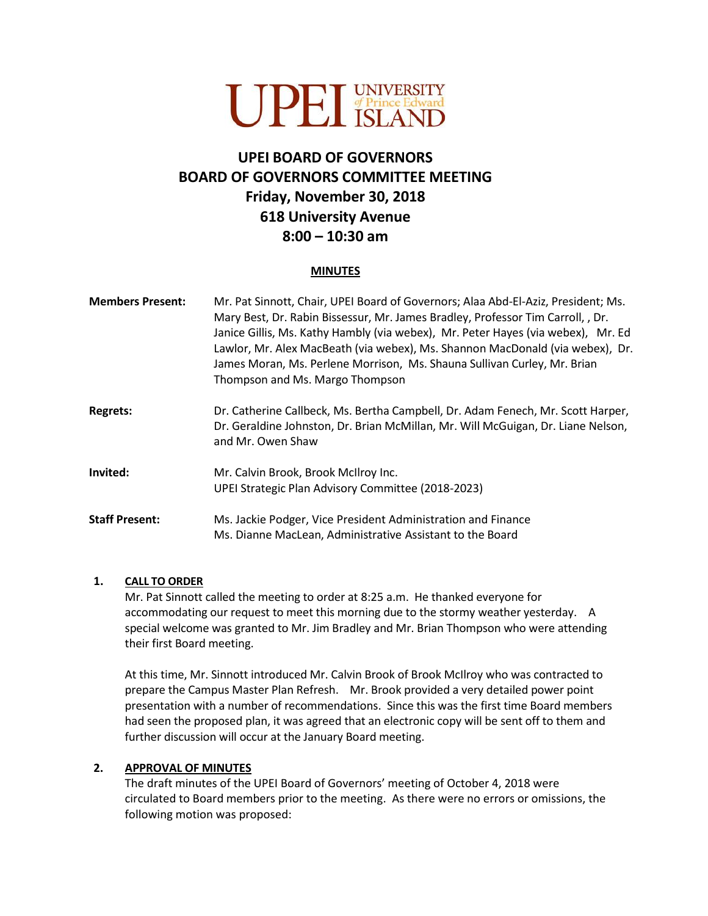

# **UPEI BOARD OF GOVERNORS BOARD OF GOVERNORS COMMITTEE MEETING Friday, November 30, 2018 618 University Avenue 8:00 – 10:30 am**

#### **MINUTES**

| <b>Members Present:</b> | Mr. Pat Sinnott, Chair, UPEI Board of Governors; Alaa Abd-El-Aziz, President; Ms.<br>Mary Best, Dr. Rabin Bissessur, Mr. James Bradley, Professor Tim Carroll, , Dr.<br>Janice Gillis, Ms. Kathy Hambly (via webex), Mr. Peter Hayes (via webex), Mr. Ed<br>Lawlor, Mr. Alex MacBeath (via webex), Ms. Shannon MacDonald (via webex), Dr.<br>James Moran, Ms. Perlene Morrison, Ms. Shauna Sullivan Curley, Mr. Brian<br>Thompson and Ms. Margo Thompson |
|-------------------------|----------------------------------------------------------------------------------------------------------------------------------------------------------------------------------------------------------------------------------------------------------------------------------------------------------------------------------------------------------------------------------------------------------------------------------------------------------|
| <b>Regrets:</b>         | Dr. Catherine Callbeck, Ms. Bertha Campbell, Dr. Adam Fenech, Mr. Scott Harper,<br>Dr. Geraldine Johnston, Dr. Brian McMillan, Mr. Will McGuigan, Dr. Liane Nelson,<br>and Mr. Owen Shaw                                                                                                                                                                                                                                                                 |
| Invited:                | Mr. Calvin Brook, Brook McIlroy Inc.<br>UPEI Strategic Plan Advisory Committee (2018-2023)                                                                                                                                                                                                                                                                                                                                                               |
| <b>Staff Present:</b>   | Ms. Jackie Podger, Vice President Administration and Finance<br>Ms. Dianne MacLean, Administrative Assistant to the Board                                                                                                                                                                                                                                                                                                                                |

### **1. CALL TO ORDER**

Mr. Pat Sinnott called the meeting to order at 8:25 a.m. He thanked everyone for accommodating our request to meet this morning due to the stormy weather yesterday. A special welcome was granted to Mr. Jim Bradley and Mr. Brian Thompson who were attending their first Board meeting.

At this time, Mr. Sinnott introduced Mr. Calvin Brook of Brook McIlroy who was contracted to prepare the Campus Master Plan Refresh. Mr. Brook provided a very detailed power point presentation with a number of recommendations. Since this was the first time Board members had seen the proposed plan, it was agreed that an electronic copy will be sent off to them and further discussion will occur at the January Board meeting.

### **2. APPROVAL OF MINUTES**

The draft minutes of the UPEI Board of Governors' meeting of October 4, 2018 were circulated to Board members prior to the meeting. As there were no errors or omissions, the following motion was proposed: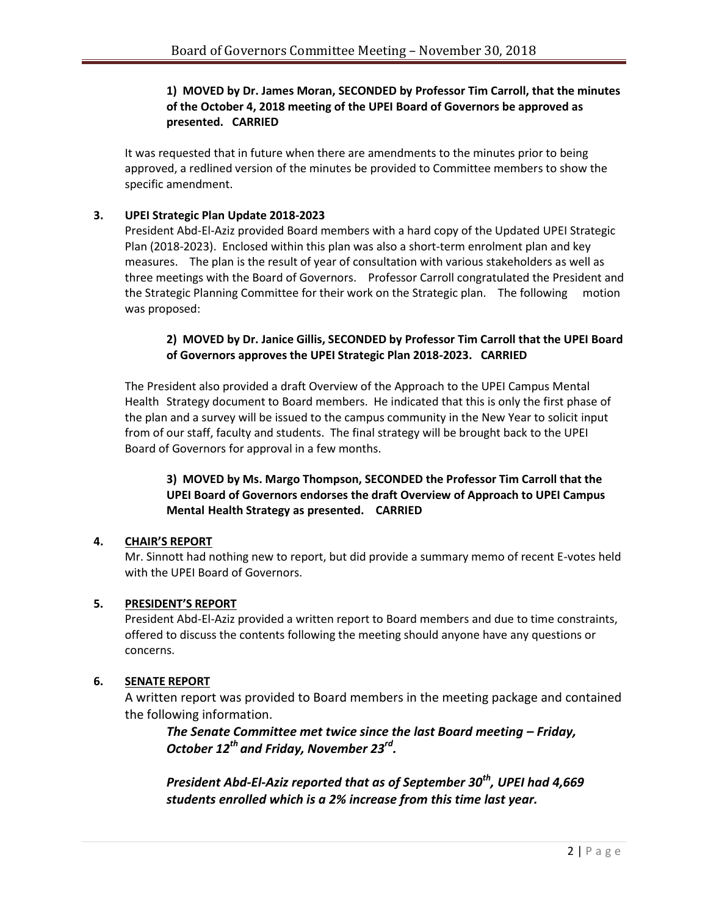## **1) MOVED by Dr. James Moran, SECONDED by Professor Tim Carroll, that the minutes of the October 4, 2018 meeting of the UPEI Board of Governors be approved as presented. CARRIED**

It was requested that in future when there are amendments to the minutes prior to being approved, a redlined version of the minutes be provided to Committee members to show the specific amendment.

## **3. UPEI Strategic Plan Update 2018-2023**

President Abd-El-Aziz provided Board members with a hard copy of the Updated UPEI Strategic Plan (2018-2023). Enclosed within this plan was also a short-term enrolment plan and key measures. The plan is the result of year of consultation with various stakeholders as well as three meetings with the Board of Governors. Professor Carroll congratulated the President and the Strategic Planning Committee for their work on the Strategic plan. The following motion was proposed:

## **2) MOVED by Dr. Janice Gillis, SECONDED by Professor Tim Carroll that the UPEI Board of Governors approves the UPEI Strategic Plan 2018-2023. CARRIED**

The President also provided a draft Overview of the Approach to the UPEI Campus Mental Health Strategy document to Board members. He indicated that this is only the first phase of the plan and a survey will be issued to the campus community in the New Year to solicit input from of our staff, faculty and students. The final strategy will be brought back to the UPEI Board of Governors for approval in a few months.

## **3) MOVED by Ms. Margo Thompson, SECONDED the Professor Tim Carroll that the UPEI Board of Governors endorses the draft Overview of Approach to UPEI Campus Mental Health Strategy as presented. CARRIED**

## **4. CHAIR'S REPORT**

Mr. Sinnott had nothing new to report, but did provide a summary memo of recent E-votes held with the UPEI Board of Governors.

### **5. PRESIDENT'S REPORT**

President Abd-El-Aziz provided a written report to Board members and due to time constraints, offered to discuss the contents following the meeting should anyone have any questions or concerns.

### **6. SENATE REPORT**

A written report was provided to Board members in the meeting package and contained the following information.

*The Senate Committee met twice since the last Board meeting – Friday, October 12th and Friday, November 23rd .* 

*President Abd-El-Aziz reported that as of September 30th, UPEI had 4,669 students enrolled which is a 2% increase from this time last year.*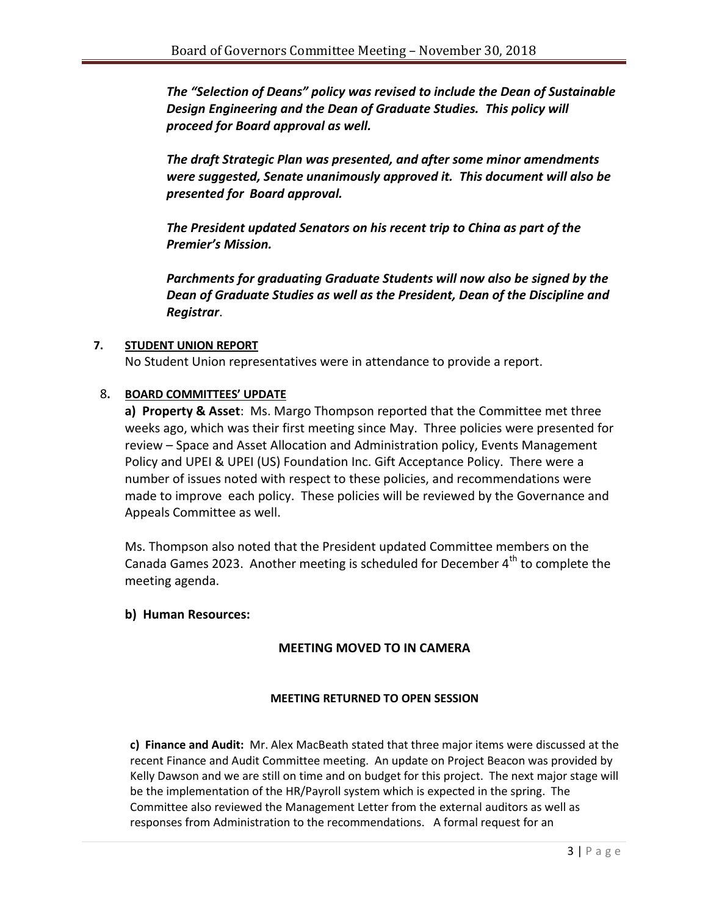*The "Selection of Deans" policy was revised to include the Dean of Sustainable Design Engineering and the Dean of Graduate Studies. This policy will proceed for Board approval as well.* 

*The draft Strategic Plan was presented, and after some minor amendments were suggested, Senate unanimously approved it. This document will also be presented for Board approval.* 

*The President updated Senators on his recent trip to China as part of the Premier's Mission.*

*Parchments for graduating Graduate Students will now also be signed by the Dean of Graduate Studies as well as the President, Dean of the Discipline and Registrar*.

## **7. STUDENT UNION REPORT**

No Student Union representatives were in attendance to provide a report.

## 8**. BOARD COMMITTEES' UPDATE**

**a) Property & Asset**: Ms. Margo Thompson reported that the Committee met three weeks ago, which was their first meeting since May. Three policies were presented for review – Space and Asset Allocation and Administration policy, Events Management Policy and UPEI & UPEI (US) Foundation Inc. Gift Acceptance Policy. There were a number of issues noted with respect to these policies, and recommendations were made to improve each policy. These policies will be reviewed by the Governance and Appeals Committee as well.

Ms. Thompson also noted that the President updated Committee members on the Canada Games 2023. Another meeting is scheduled for December  $4<sup>th</sup>$  to complete the meeting agenda.

## **b) Human Resources:**

## **MEETING MOVED TO IN CAMERA**

## **MEETING RETURNED TO OPEN SESSION**

**c) Finance and Audit:** Mr. Alex MacBeath stated that three major items were discussed at the recent Finance and Audit Committee meeting. An update on Project Beacon was provided by Kelly Dawson and we are still on time and on budget for this project. The next major stage will be the implementation of the HR/Payroll system which is expected in the spring. The Committee also reviewed the Management Letter from the external auditors as well as responses from Administration to the recommendations. A formal request for an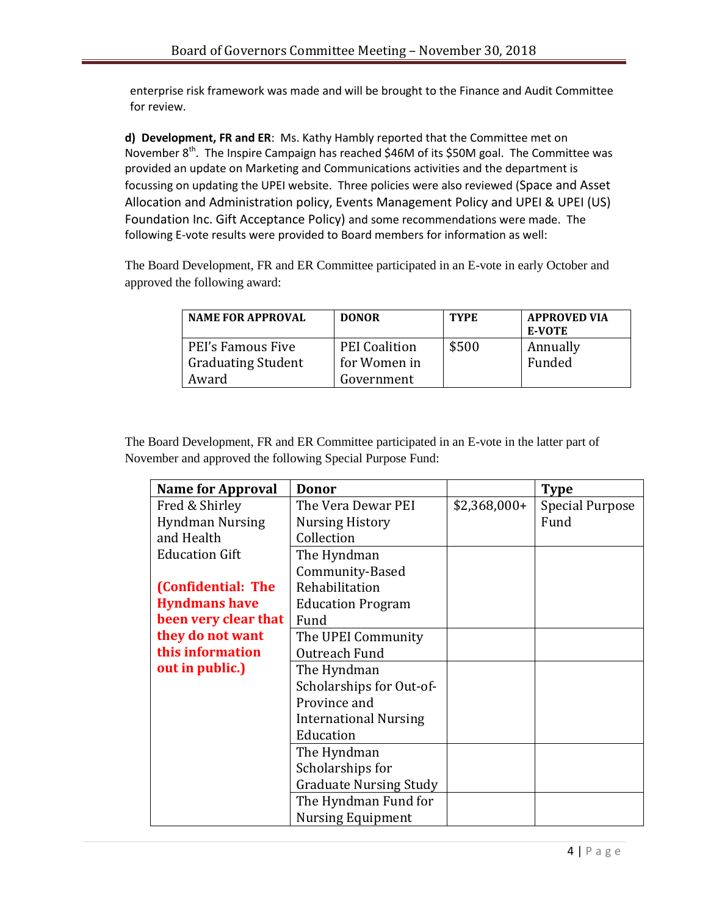enterprise risk framework was made and will be brought to the Finance and Audit Committee for review.

**d) Development, FR and ER**: Ms. Kathy Hambly reported that the Committee met on November  $8^{th}$ . The Inspire Campaign has reached \$46M of its \$50M goal. The Committee was provided an update on Marketing and Communications activities and the department is focussing on updating the UPEI website. Three policies were also reviewed (Space and Asset Allocation and Administration policy, Events Management Policy and UPEI & UPEI (US) Foundation Inc. Gift Acceptance Policy) and some recommendations were made. The following E-vote results were provided to Board members for information as well:

The Board Development, FR and ER Committee participated in an E-vote in early October and approved the following award:

| <b>NAME FOR APPROVAL</b>  | <b>DONOR</b>         | <b>TYPE</b> | <b>APPROVED VIA</b><br><b>E-VOTE</b> |
|---------------------------|----------------------|-------------|--------------------------------------|
| PEI's Famous Five         | <b>PEI Coalition</b> | \$500       | Annually                             |
| <b>Graduating Student</b> | for Women in         |             | Funded                               |
| Award                     | Government           |             |                                      |

The Board Development, FR and ER Committee participated in an E-vote in the latter part of November and approved the following Special Purpose Fund:

| <b>Name for Approval</b> | Donor                         |               | <b>Type</b>     |
|--------------------------|-------------------------------|---------------|-----------------|
| Fred & Shirley           | The Vera Dewar PEI            | $$2,368,000+$ | Special Purpose |
| <b>Hyndman Nursing</b>   | Nursing History               |               | Fund            |
| and Health               | Collection                    |               |                 |
| <b>Education Gift</b>    | The Hyndman                   |               |                 |
|                          | Community-Based               |               |                 |
| (Confidential: The       | Rehabilitation                |               |                 |
| <b>Hyndmans have</b>     | <b>Education Program</b>      |               |                 |
| been very clear that     | Fund                          |               |                 |
| they do not want         | The UPEI Community            |               |                 |
| this information         | Outreach Fund                 |               |                 |
| out in public.)          | The Hyndman                   |               |                 |
|                          | Scholarships for Out-of-      |               |                 |
|                          | Province and                  |               |                 |
|                          | <b>International Nursing</b>  |               |                 |
|                          | Education                     |               |                 |
|                          | The Hyndman                   |               |                 |
|                          | Scholarships for              |               |                 |
|                          | <b>Graduate Nursing Study</b> |               |                 |
|                          | The Hyndman Fund for          |               |                 |
|                          | <b>Nursing Equipment</b>      |               |                 |